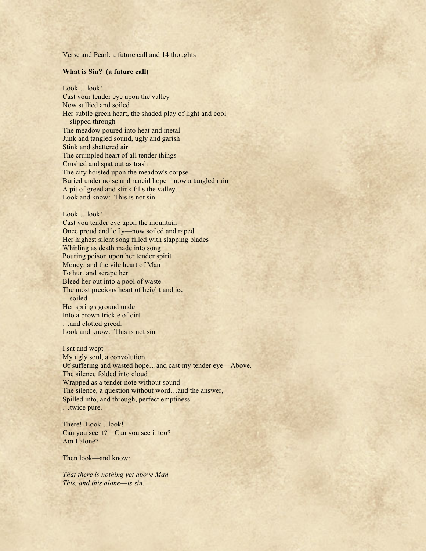Verse and Pearl: a future call and 14 thoughts

## **What is Sin? (a future call)**

Look… look! Cast your tender eye upon the valley Now sullied and soiled Her subtle green heart, the shaded play of light and cool ––slipped through The meadow poured into heat and metal Junk and tangled sound, ugly and garish Stink and shattered air The crumpled heart of all tender things Crushed and spat out as trash The city hoisted upon the meadow's corpse Buried under noise and rancid hope—now a tangled ruin A pit of greed and stink fills the valley. Look and know: This is not sin.

## Look… look!

Cast you tender eye upon the mountain Once proud and lofty––now soiled and raped Her highest silent song filled with slapping blades Whirling as death made into song Pouring poison upon her tender spirit Money, and the vile heart of Man To hurt and scrape her Bleed her out into a pool of waste The most precious heart of height and ice ––soiled Her springs ground under Into a brown trickle of dirt …and clotted greed. Look and know: This is not sin.

I sat and wept My ugly soul, a convolution Of suffering and wasted hope…and cast my tender eye––Above. The silence folded into cloud Wrapped as a tender note without sound The silence, a question without word…and the answer, Spilled into, and through, perfect emptiness …twice pure.

There! Look…look! Can you see it?—Can you see it too? Am I alone?

Then look—and know:

*That there is nothing yet above Man This, and this alone––is sin.*